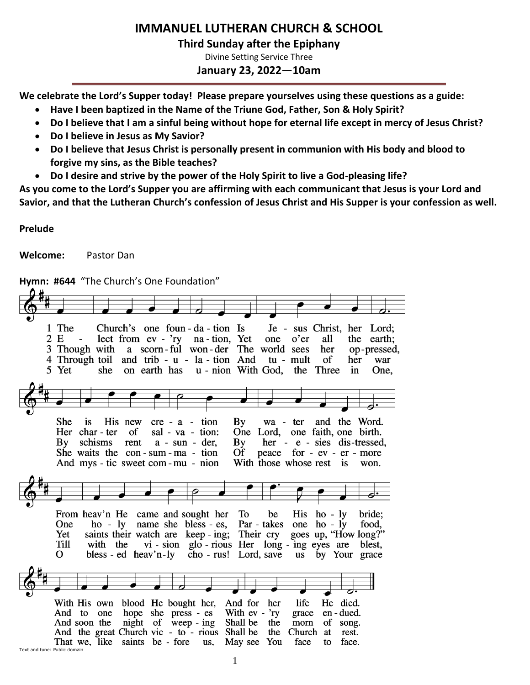# **IMMANUEL LUTHERAN CHURCH & SCHOOL**

**Third Sunday after the Epiphany**

Divine Setting Service Three

**January 23, 2022—10am**

**We celebrate the Lord's Supper today! Please prepare yourselves using these questions as a guide:**

- **Have I been baptized in the Name of the Triune God, Father, Son & Holy Spirit?**
- **Do I believe that I am a sinful being without hope for eternal life except in mercy of Jesus Christ?**
- **Do I believe in Jesus as My Savior?**
- **Do I believe that Jesus Christ is personally present in communion with His body and blood to forgive my sins, as the Bible teaches?**
- **Do I desire and strive by the power of the Holy Spirit to live a God-pleasing life?**

**As you come to the Lord's Supper you are affirming with each communicant that Jesus is your Lord and Savior, and that the Lutheran Church's confession of Jesus Christ and His Supper is your confession as well.**

**Prelude**

**Welcome:** Pastor Dan

**Hymn: #644** "The Church's One Foundation"

1 The Church's one foun-da-tion Is Je - sus Christ, her Lord; 2 E  $\text{lect from } \text{ev} - \text{ry}$ na - tion, Yet one o'er all the earth; a scorn-ful won-der The world sees 3 Though with her op-pressed, and trib - u - la - tion And 4 Through toil tu - mult of her war 5 Yet she on earth has u - nion With God, the Three  $\mathbf{in}$ One. She is His new  $cre - a - tion$  $\mathbf{B}\mathbf{v}$ wa - ter and the Word. Her char-ter of sal - va - tion: One Lord, one faith, one birth. schisms rent  $a - sun - der$  $\mathbf{B}\mathbf{v}$ her - e - sies dis-tressed,  $\mathbf{B}\mathbf{v}$ peace for - ev - er - more She waits the con-sum-ma-tion **Of** And mys - tic sweet com - mu - nion With those whose rest is won. To From heav'n He came and sought her be His ho -  $\lg$ bride: Par - takes one ho - ly One ho - ly name she bless - es, food. goes up, "How long?" Yet saints their watch are  $keep - ing;$ Their cry **Till** with the vi - sion glo - rious Her long - ing eyes are blest,  $\Omega$ bless - ed heav'n-ly cho - rus! Lord, save us by Your grace With His own blood He bought her, And for her life He died. hope she press - es With ev - 'ry en - dued. And to one grace night of weep - ing Shall be And soon the the morn of song. And the great Church vic - to - rious Shall be the Church at rest. That we, like saints be - fore us, May see You face to face. Text and tune: Public domain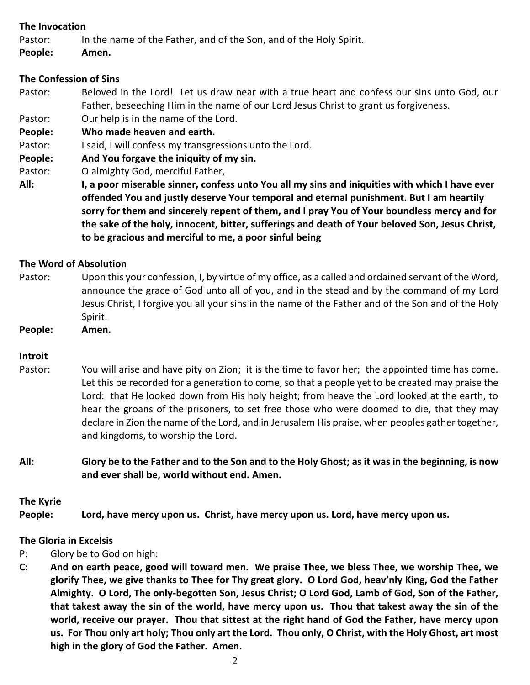# **The Invocation**

Pastor: In the name of the Father, and of the Son, and of the Holy Spirit.

**People: Amen.**

# **The Confession of Sins**

- Pastor: Beloved in the Lord! Let us draw near with a true heart and confess our sins unto God, our Father, beseeching Him in the name of our Lord Jesus Christ to grant us forgiveness.
- Pastor: Our help is in the name of the Lord.
- **People: Who made heaven and earth.**
- Pastor: I said, I will confess my transgressions unto the Lord.
- **People: And You forgave the iniquity of my sin.**
- Pastor: O almighty God, merciful Father,
- **All: I, a poor miserable sinner, confess unto You all my sins and iniquities with which I have ever offended You and justly deserve Your temporal and eternal punishment. But I am heartily sorry for them and sincerely repent of them, and I pray You of Your boundless mercy and for the sake of the holy, innocent, bitter, sufferings and death of Your beloved Son, Jesus Christ, to be gracious and merciful to me, a poor sinful being**

# **The Word of Absolution**

- Pastor: Upon this your confession, I, by virtue of my office, as a called and ordained servant of the Word, announce the grace of God unto all of you, and in the stead and by the command of my Lord Jesus Christ, I forgive you all your sins in the name of the Father and of the Son and of the Holy Spirit.
- **People: Amen.**

# **Introit**

- Pastor: You will arise and have pity on Zion; it is the time to favor her; the appointed time has come. Let this be recorded for a generation to come, so that a people yet to be created may praise the Lord: that He looked down from His holy height; from heave the Lord looked at the earth, to hear the groans of the prisoners, to set free those who were doomed to die, that they may declare in Zion the name of the Lord, and in Jerusalem His praise, when peoples gather together, and kingdoms, to worship the Lord.
- **All: Glory be to the Father and to the Son and to the Holy Ghost; as it was in the beginning, is now and ever shall be, world without end. Amen.**

# **The Kyrie**

**People: Lord, have mercy upon us. Christ, have mercy upon us. Lord, have mercy upon us.**

# **The Gloria in Excelsis**

- P: Glory be to God on high:
- **C: And on earth peace, good will toward men. We praise Thee, we bless Thee, we worship Thee, we glorify Thee, we give thanks to Thee for Thy great glory. O Lord God, heav'nly King, God the Father Almighty. O Lord, The only-begotten Son, Jesus Christ; O Lord God, Lamb of God, Son of the Father, that takest away the sin of the world, have mercy upon us. Thou that takest away the sin of the world, receive our prayer. Thou that sittest at the right hand of God the Father, have mercy upon us. For Thou only art holy; Thou only art the Lord. Thou only, O Christ, with the Holy Ghost, art most high in the glory of God the Father. Amen.**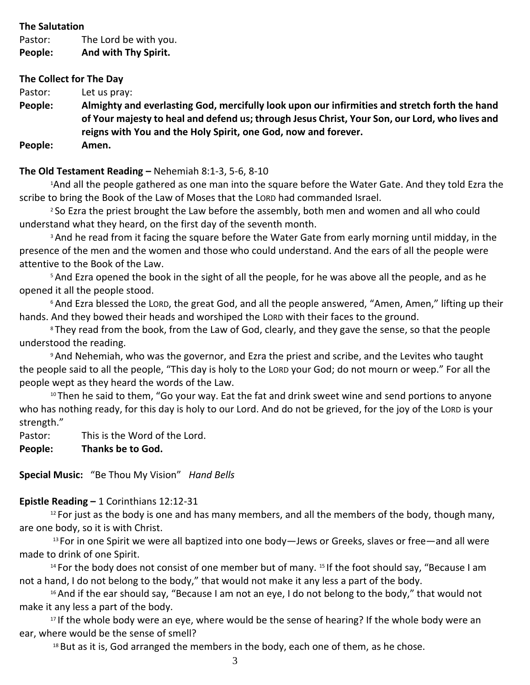## **The Salutation**

Pastor: The Lord be with you.

**People: And with Thy Spirit.**

# **The Collect for The Day**

Pastor: Let us pray:

**People: Almighty and everlasting God, mercifully look upon our infirmities and stretch forth the hand of Your majesty to heal and defend us; through Jesus Christ, Your Son, our Lord, who lives and reigns with You and the Holy Spirit, one God, now and forever. People: Amen.**

# **The Old Testament Reading –** Nehemiah 8:1-3, 5-6, 8-10

<sup>1</sup>And all the people gathered as one man into the square before the Water Gate. And they told Ezra the scribe to bring the Book of the Law of Moses that the LORD had commanded Israel.

<sup>2</sup> So Ezra the priest brought the Law before the assembly, both men and women and all who could understand what they heard, on the first day of the seventh month.

<sup>3</sup> And he read from it facing the square before the Water Gate from early morning until midday, in the presence of the men and the women and those who could understand. And the ears of all the people were attentive to the Book of the Law.

<sup>5</sup> And Ezra opened the book in the sight of all the people, for he was above all the people, and as he opened it all the people stood.

<sup>6</sup> And Ezra blessed the LORD, the great God, and all the people answered, "Amen, Amen," lifting up their hands. And they bowed their heads and worshiped the LORD with their faces to the ground.

<sup>8</sup> They read from the book, from the Law of God, clearly, and they gave the sense, so that the people understood the reading.

<sup>9</sup>And Nehemiah, who was the governor, and Ezra the priest and scribe, and the Levites who taught the people said to all the people, "This day is holy to the LORD your God; do not mourn or weep." For all the people wept as they heard the words of the Law.

<sup>10</sup> Then he said to them, "Go your way. Eat the fat and drink sweet wine and send portions to anyone who has nothing ready, for this day is holy to our Lord. And do not be grieved, for the joy of the LORD is your strength."

Pastor: This is the Word of the Lord.

# **People: Thanks be to God.**

**Special Music:** "Be Thou My Vision" *Hand Bells*

# **Epistle Reading –** 1 Corinthians 12:12-31

 $12$  For just as the body is one and has many members, and all the members of the body, though many, are one body, so it is with Christ.

<sup>13</sup> For in one Spirit we were all baptized into one body—Jews or Greeks, slaves or free—and all were made to drink of one Spirit.

<sup>14</sup> For the body does not consist of one member but of many. <sup>15</sup> If the foot should say, "Because I am not a hand, I do not belong to the body," that would not make it any less a part of the body.

<sup>16</sup> And if the ear should say, "Because I am not an eye, I do not belong to the body," that would not make it any less a part of the body.

<sup>17</sup> If the whole body were an eye, where would be the sense of hearing? If the whole body were an ear, where would be the sense of smell?

 $18$  But as it is, God arranged the members in the body, each one of them, as he chose.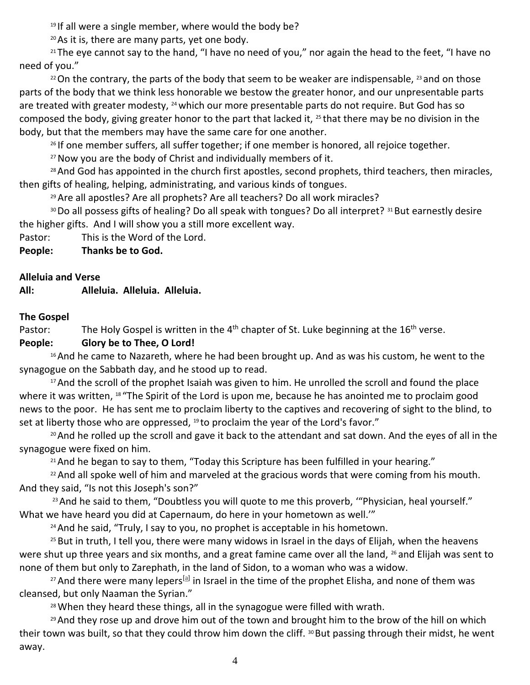$19$  If all were a single member, where would the body be?

<sup>20</sup>As it is, there are many parts, yet one body.

<sup>21</sup> The eye cannot say to the hand, "I have no need of you," nor again the head to the feet, "I have no need of you."

 $22$  On the contrary, the parts of the body that seem to be weaker are indispensable,  $23$  and on those parts of the body that we think less honorable we bestow the greater honor, and our unpresentable parts are treated with greater modesty, <sup>24</sup> which our more presentable parts do not require. But God has so composed the body, giving greater honor to the part that lacked it, <sup>25</sup> that there may be no division in the body, but that the members may have the same care for one another.

<sup>26</sup> If one member suffers, all suffer together; if one member is honored, all rejoice together.

<sup>27</sup> Now you are the body of Christ and individually members of it.

<sup>28</sup> And God has appointed in the church first apostles, second prophets, third teachers, then miracles, then gifts of healing, helping, administrating, and various kinds of tongues.

<sup>29</sup> Are all apostles? Are all prophets? Are all teachers? Do all work miracles?

30 Do all possess gifts of healing? Do all speak with tongues? Do all interpret? 31 But earnestly desire the higher gifts. And I will show you a still more excellent way.

Pastor: This is the Word of the Lord.

**People: Thanks be to God.**

# **Alleluia and Verse**

**All: Alleluia. Alleluia. Alleluia.**

# **The Gospel**

Pastor: The Holy Gospel is written in the  $4<sup>th</sup>$  chapter of St. Luke beginning at the 16<sup>th</sup> verse.

# **People: Glory be to Thee, O Lord!**

<sup>16</sup> And he came to Nazareth, where he had been brought up. And as was his custom, he went to the synagogue on the Sabbath day, and he stood up to read.

<sup>17</sup> And the scroll of the prophet Isaiah was given to him. He unrolled the scroll and found the place where it was written, 18 "The Spirit of the Lord is upon me, because he has anointed me to proclaim good news to the poor. He has sent me to proclaim liberty to the captives and recovering of sight to the blind, to set at liberty those who are oppressed,  $19$  to proclaim the year of the Lord's favor."

<sup>20</sup> And he rolled up the scroll and gave it back to the attendant and sat down. And the eyes of all in the synagogue were fixed on him.

 $21$  And he began to say to them, "Today this Scripture has been fulfilled in your hearing."

<sup>22</sup> And all spoke well of him and marveled at the gracious words that were coming from his mouth. And they said, "Is not this Joseph's son?"

<sup>23</sup> And he said to them, "Doubtless you will quote to me this proverb, "'Physician, heal yourself." What we have heard you did at Capernaum, do here in your hometown as well.'"

<sup>24</sup> And he said, "Truly, I say to you, no prophet is acceptable in his hometown.

<sup>25</sup> But in truth, I tell you, there were many widows in Israel in the days of Elijah, when the heavens were shut up three years and six months, and a great famine came over all the land, <sup>26</sup> and Elijah was sent to none of them but only to Zarephath, in the land of Sidon, to a woman who was a widow.

<sup>27</sup> And there were many lepers<sup>[\[a\]](https://www.biblegateway.com/passage/?search=Luke+4%3A16-30&version=ESV#fen-ESV-25082a)</sup> in Israel in the time of the prophet Elisha, and none of them was cleansed, but only Naaman the Syrian."

28 When they heard these things, all in the synagogue were filled with wrath.

<sup>29</sup> And they rose up and drove him out of the town and brought him to the brow of the hill on which their town was built, so that they could throw him down the cliff. <sup>30</sup> But passing through their midst, he went away.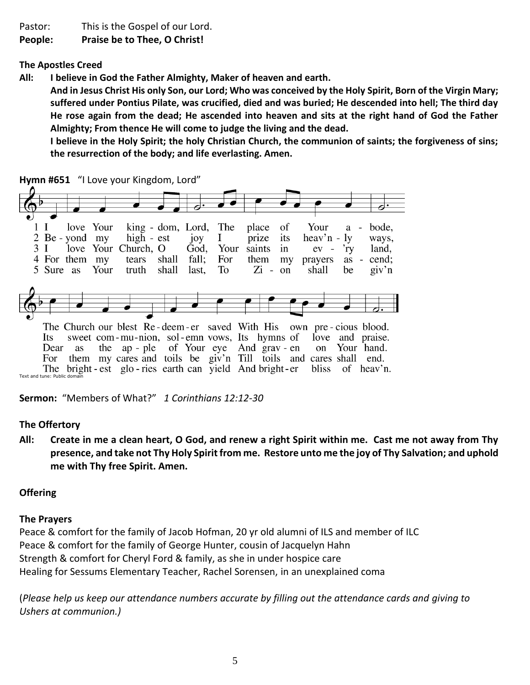Pastor: This is the Gospel of our Lord.

**People: Praise be to Thee, O Christ!**

**The Apostles Creed** 

**All: I believe in God the Father Almighty, Maker of heaven and earth.** 

**And in Jesus Christ His only Son, our Lord; Who was conceived by the Holy Spirit, Born of the Virgin Mary; suffered under Pontius Pilate, was crucified, died and was buried; He descended into hell; The third day He rose again from the dead; He ascended into heaven and sits at the right hand of God the Father Almighty; From thence He will come to judge the living and the dead.**

**I believe in the Holy Spirit; the holy Christian Church, the communion of saints; the forgiveness of sins; the resurrection of the body; and life everlasting. Amen.**

**Hymn #651** "I Love your Kingdom, Lord"



Text and tune: Public dom

**Sermon:** "Members of What?" *1 Corinthians 12:12-30*

# **The Offertory**

**All: Create in me a clean heart, O God, and renew a right Spirit within me. Cast me not away from Thy presence, and take not Thy Holy Spirit from me. Restore unto me the joy of Thy Salvation; and uphold me with Thy free Spirit. Amen.**

# **Offering**

# **The Prayers**

Peace & comfort for the family of Jacob Hofman, 20 yr old alumni of ILS and member of ILC Peace & comfort for the family of George Hunter, cousin of Jacquelyn Hahn Strength & comfort for Cheryl Ford & family, as she in under hospice care Healing for Sessums Elementary Teacher, Rachel Sorensen, in an unexplained coma

(*Please help us keep our attendance numbers accurate by filling out the attendance cards and giving to Ushers at communion.)*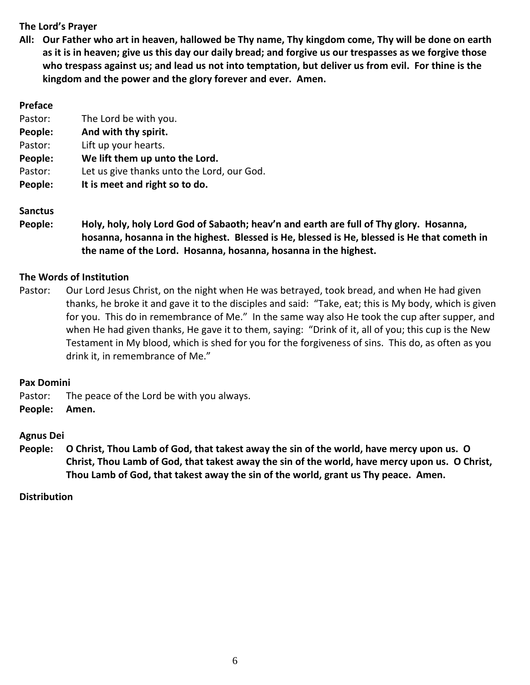# **The Lord's Prayer**

**All: Our Father who art in heaven, hallowed be Thy name, Thy kingdom come, Thy will be done on earth as it is in heaven; give us this day our daily bread; and forgive us our trespasses as we forgive those who trespass against us; and lead us not into temptation, but deliver us from evil. For thine is the kingdom and the power and the glory forever and ever. Amen.**

| <b>Preface</b> |                                            |
|----------------|--------------------------------------------|
| Pastor:        | The Lord be with you.                      |
| People:        | And with thy spirit.                       |
| Pastor:        | Lift up your hearts.                       |
| People:        | We lift them up unto the Lord.             |
| Pastor:        | Let us give thanks unto the Lord, our God. |
| People:        | It is meet and right so to do.             |

# **Sanctus**

**People: Holy, holy, holy Lord God of Sabaoth; heav'n and earth are full of Thy glory. Hosanna, hosanna, hosanna in the highest. Blessed is He, blessed is He, blessed is He that cometh in the name of the Lord. Hosanna, hosanna, hosanna in the highest.**

## **The Words of Institution**

Pastor: Our Lord Jesus Christ, on the night when He was betrayed, took bread, and when He had given thanks, he broke it and gave it to the disciples and said: "Take, eat; this is My body, which is given for you. This do in remembrance of Me." In the same way also He took the cup after supper, and when He had given thanks, He gave it to them, saying: "Drink of it, all of you; this cup is the New Testament in My blood, which is shed for you for the forgiveness of sins. This do, as often as you drink it, in remembrance of Me."

#### **Pax Domini**

- Pastor: The peace of the Lord be with you always.
- **People: Amen.**

# **Agnus Dei**

**People: O Christ, Thou Lamb of God, that takest away the sin of the world, have mercy upon us. O Christ, Thou Lamb of God, that takest away the sin of the world, have mercy upon us. O Christ, Thou Lamb of God, that takest away the sin of the world, grant us Thy peace. Amen.**

#### **Distribution**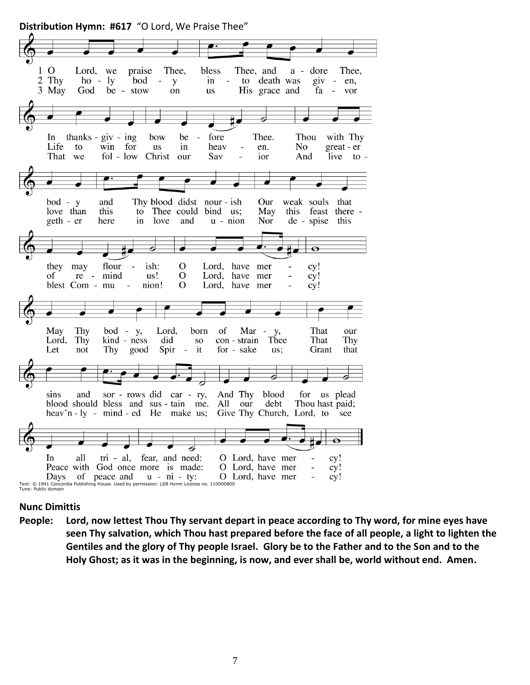

# **Nunc Dimittis**

**People: Lord, now lettest Thou Thy servant depart in peace according to Thy word, for mine eyes have seen Thy salvation, which Thou hast prepared before the face of all people, a light to lighten the Gentiles and the glory of Thy people Israel. Glory be to the Father and to the Son and to the Holy Ghost; as it was in the beginning, is now, and ever shall be, world without end. Amen.**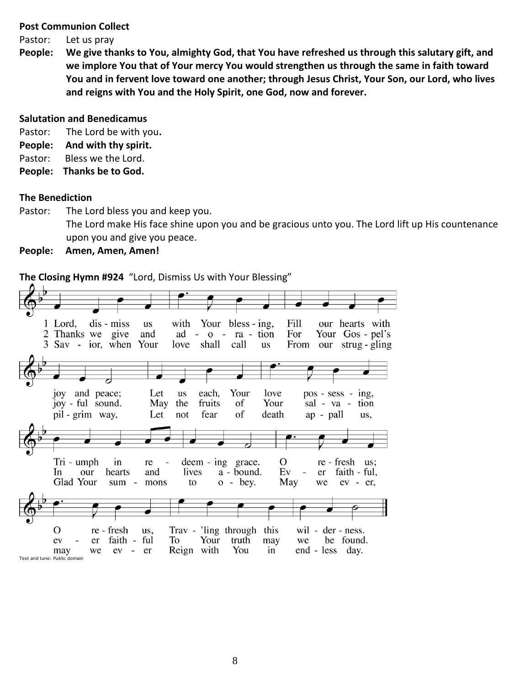#### **Post Communion Collect**

Pastor: Let us pray

**People: We give thanks to You, almighty God, that You have refreshed us through this salutary gift, and we implore You that of Your mercy You would strengthen us through the same in faith toward You and in fervent love toward one another; through Jesus Christ, Your Son, our Lord, who lives and reigns with You and the Holy Spirit, one God, now and forever.** 

#### **Salutation and Benedicamus**

Pastor: The Lord be with you**.**

- **People: And with thy spirit.**
- Pastor: Bless we the Lord.
- **People: Thanks be to God.**

#### **The Benediction**

Pastor: The Lord bless you and keep you.

The Lord make His face shine upon you and be gracious unto you. The Lord lift up His countenance upon you and give you peace.

**People: Amen, Amen, Amen!**

**The Closing Hymn #924** "Lord, Dismiss Us with Your Blessing"

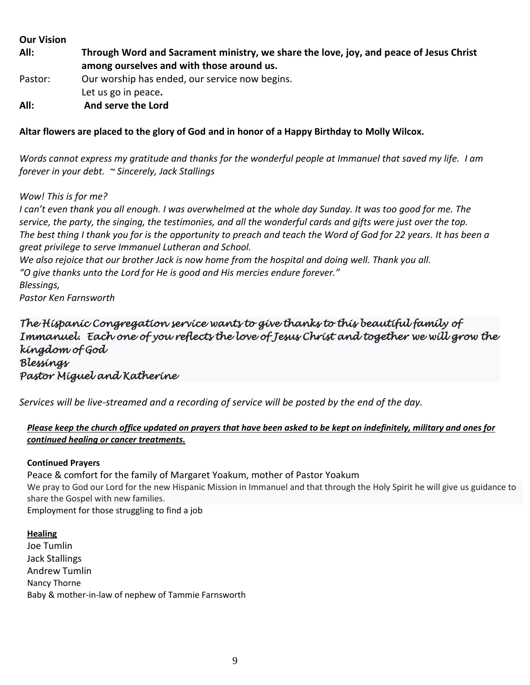#### **Our Vision**

**All: Through Word and Sacrament ministry, we share the love, joy, and peace of Jesus Christ among ourselves and with those around us.**

- Pastor: Our worship has ended, our service now begins. Let us go in peace**.**
- **All: And serve the Lord**

**Altar flowers are placed to the glory of God and in honor of a Happy Birthday to Molly Wilcox.**

*Words cannot express my gratitude and thanks for the wonderful people at Immanuel that saved my life. I am forever in your debt. ~ Sincerely, Jack Stallings*

## *Wow! This is for me?*

*I can't even thank you all enough. I was overwhelmed at the whole day Sunday. It was too good for me. The service, the party, the singing, the testimonies, and all the wonderful cards and gifts were just over the top. The best thing I thank you for is the opportunity to preach and teach the Word of God for 22 years. It has been a great privilege to serve Immanuel Lutheran and School.*

*We also rejoice that our brother Jack is now home from the hospital and doing well. Thank you all. "O give thanks unto the Lord for He is good and His mercies endure forever."*

*Blessings,*

*Pastor Ken Farnsworth*

# *The Hispanic Congregation service wants to give thanks to this beautiful family of Immanuel. Each one of you reflects the love of Jesus Christ and together we will grow the kingdom of God Blessings Pastor Miguel and Katherine*

*Services will be live-streamed and a recording of service will be posted by the end of the day.* 

# *Please keep the church office updated on prayers that have been asked to be kept on indefinitely, military and ones for continued healing or cancer treatments.*

#### **Continued Prayers**

Peace & comfort for the family of Margaret Yoakum, mother of Pastor Yoakum We pray to God our Lord for the new Hispanic Mission in Immanuel and that through the Holy Spirit he will give us guidance to share the Gospel with new families. Employment for those struggling to find a job

# **Healing** Joe Tumlin Jack Stallings Andrew Tumlin Nancy Thorne Baby & mother-in-law of nephew of Tammie Farnsworth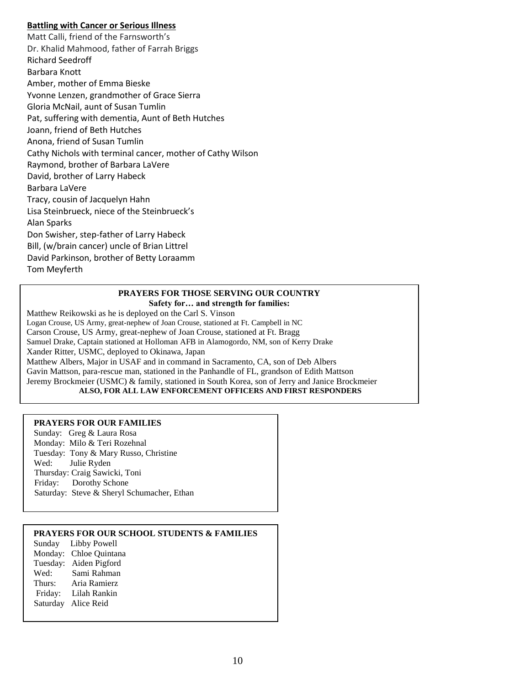#### **Battling with Cancer or Serious Illness**

Matt Calli, friend of the Farnsworth's Dr. Khalid Mahmood, father of Farrah Briggs Richard Seedroff Barbara Knott Amber, mother of Emma Bieske Yvonne Lenzen, grandmother of Grace Sierra Gloria McNail, aunt of Susan Tumlin Pat, suffering with dementia, Aunt of Beth Hutches Joann, friend of Beth Hutches Anona, friend of Susan Tumlin Cathy Nichols with terminal cancer, mother of Cathy Wilson Raymond, brother of Barbara LaVere David, brother of Larry Habeck Barbara LaVere Tracy, cousin of Jacquelyn Hahn Lisa Steinbrueck, niece of the Steinbrueck's Alan Sparks Don Swisher, step-father of Larry Habeck Bill, (w/brain cancer) uncle of Brian Littrel David Parkinson, brother of Betty Loraamm Tom Meyferth

#### **PRAYERS FOR THOSE SERVING OUR COUNTRY Safety for… and strength for families:**

Matthew Reikowski as he is deployed on the Carl S. Vinson Logan Crouse, US Army, great-nephew of Joan Crouse, stationed at Ft. Campbell in NC Carson Crouse, US Army, great-nephew of Joan Crouse, stationed at Ft. Bragg Samuel Drake, Captain stationed at Holloman AFB in Alamogordo, NM, son of Kerry Drake Xander Ritter, USMC, deployed to Okinawa, Japan Matthew Albers, Major in USAF and in command in Sacramento, CA, son of Deb Albers Gavin Mattson, para-rescue man, stationed in the Panhandle of FL, grandson of Edith Mattson Jeremy Brockmeier (USMC) & family, stationed in South Korea, son of Jerry and Janice Brockmeier **ALSO, FOR ALL LAW ENFORCEMENT OFFICERS AND FIRST RESPONDERS**

#### **PRAYERS FOR OUR FAMILIES**

Sunday: Greg & Laura Rosa Monday: Milo & Teri Rozehnal Tuesday: Tony & Mary Russo, Christine Wed: Julie Ryden Thursday: Craig Sawicki, Toni Friday: Dorothy Schone Saturday: Steve & Sheryl Schumacher, Ethan

#### **PRAYERS FOR OUR SCHOOL STUDENTS & FAMILIES**

Sunday Libby Powell Monday: Chloe Quintana Tuesday: Aiden Pigford Wed: Sami Rahman Thurs: Aria Ramierz Friday: Lilah Rankin Saturday Alice Reid